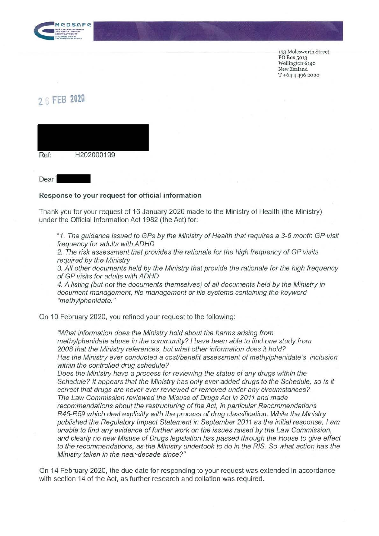

133 Molesworth Street PO Box 5013 Wellington 6140 New Zealand T +64 4 496 2000

## **2.., FEB 2020**



## **Response to your request for official information**

Thank you for your request of 16 January 2020 made to the Ministry of Health (the Ministry) under the Official Information Act 1982 (the Act) for:

"1. The guidance issued to GPs by the Ministry of Health that requires a 3-6 month GP visit frequency for adults with ADHD

2. The risk assessment that provides the rationale for the high frequency of GP visits required by the Ministry

3. All other documents held by the Ministry that provide the rationale for the high frequency of GP visits for adults with ADHD

4. A listing (but not the documents themselves) of all documents held by the Ministry in document management, file management or file systems containing the keyword "methylphenidate."

On 10 February 2020, you refined your request to the following:

"What information does the Ministry hold about the harms arising from methylphenidate abuse in the community? I have been able to find one study from 2008 that the Ministry references, but what other information does it hold? Has the Ministry ever conducted a cost/benefit assessment of methylphenidate's inclusion within the controlled drug schedule?

Does the Ministry have a process for reviewing the status of any drugs within the Schedule? It appears that the Ministry has only ever added drugs to the Schedule, so is it correct that drugs are never ever reviewed or removed under any circumstances? The Law Commission reviewed the Misuse of Drugs Act in 2011 and made recommendations about the restructuring of the Act, in particular Recommendations R46-R59 which deal explicitly with the process of drug classification. While the Ministry published the Regulatory Impact Statement in September 2011 as the initial response, I am unable to find any evidence of further work on the issues raised by the Law Commission, and clearly no new Misuse of Drugs legislation has passed through the House to give effect to the recommendations, as the Ministry undertook to do in the RIS. So what action has the Ministry taken in the near-decade since?"

On 14 February 2020, the due date for responding to your request was extended in accordance with section 14 of the Act, as further research and collation was required.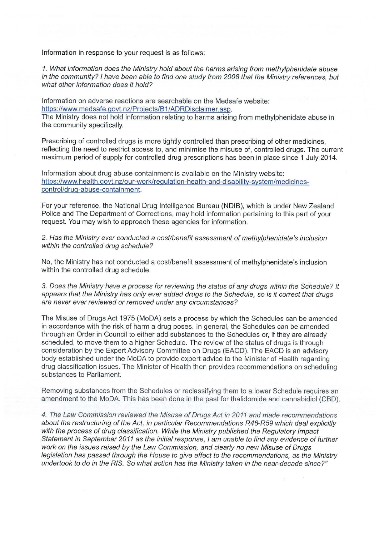Information in response to your request is as follows:

1. What information does the Ministry hold about the harms arising from methylphenidate abuse in the community? I have been able to find one study from 2008 that the Ministry references, but what other information does it hold?

Information on adverse reactions are searchable on the Medsafe website: https://www.medsafe.govt.nz/Projects/B1/ADRDisclaimer.asp.

The Ministry does not hold information relating to harms arising from methylphenidate abuse in the community specifically.

Prescribing of controlled drugs is more tightly controlled than prescribing of other medicines, reflecting the need to restrict access to, and minimise the misuse of, controlled drugs. The current maximum period of supply for controlled drug prescriptions has been in place since 1 July 2014.

Information about drug abuse containment is available on the Ministry website: https://www.health.govt.nz/our-work/regulation-health-and-disability-system/medicinescontrol/drug-abuse-containment.

For your reference, the National Drug Intelligence Bureau (NDIB), which is under New Zealand Police and The Department of Corrections, may hold information pertaining to this part of your request. You may wish to approach these agencies for information.

2. Has the Ministry ever conducted a cost/benefit assessment of methylphenidate's inclusion within the controlled drug schedule?

No, the Ministry has not conducted a cost/benefit assessment of methylphenidate's inclusion within the controlled drug schedule.

3. Does the Ministry have a process for reviewing the status of any drugs within the Schedule? It appears that the Ministry has only ever added drugs to the Schedule, so is it correct that drugs are never ever reviewed or removed under any circumstances?

The Misuse of Drugs Act 1975 (MoDA) sets a process by which the Schedules can be amended in accordance with the risk of harm a drug poses. In general, the Schedules can be amended through an Order in Council to either add substances to the Schedules or, if they are already scheduled, to move them to a higher Schedule. The review of the status of drugs is through consideration by the Expert Advisory Committee on Drugs (EACD). The EACD is an advisory body established under the MoDA to provide expert advice to the Minister of Health regarding drug classification issues. The Minister of Health then provides recommendations on scheduling substances to Parliament.

Removing substances from the Schedules or reclassifying them to a lower Schedule requires an amendment to the MoDA. This has been done in the past for thalidomide and cannabidiol (CBD).

4. The Law Commission reviewed the Misuse of Drugs Act in 2011 and made recommendations about the restructuring of the Act, in particular Recommendations R46-R59 which deal explicitly with the process of drug classification. While the Ministry published the Regulatory Impact Statement in September 2011 as the initial response, I am unable to find any evidence of further work on the issues raised by the Law Commission, and clearly no new Misuse of Drugs legislation has passed through the House to give effect to the recommendations, as the Ministry undertook to do in the RIS. So what action has the Ministry taken in the near-decade since?"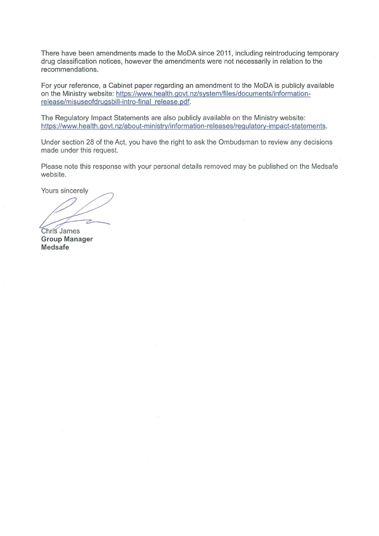There have been amendments made to the MoDA since 2011, including reintroducing temporary drug classification notices, however the amendments were not necessarily in relation to the recommendations.

For your reference, a Cabinet paper regarding an amendment to the MoDA is publicly available on the Ministry website: https://www.health.govt.nz/system/files/documents/informationrelease/misuseofdrugsbill-intro-final release.pdf.

The Regulatory Impact Statements are also publicly available on the Ministry website: https://www.health.govt.nz/about-ministry/information-releases/regulatory-impact-statements.

Under section 28 of the Act, you have the right to ask the Ombudsman to review any decisions made under this request.

Please note this response with your personal details removed may be published on the Medsafe website.

Yours sincerely

Chris James **Group Manager Medsafe**